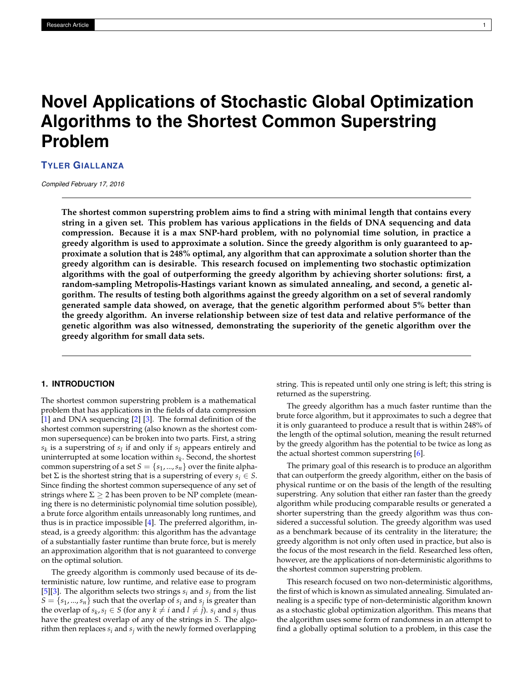# **Novel Applications of Stochastic Global Optimization Algorithms to the Shortest Common Superstring Problem**

**TYLER GIALLANZA**

*Compiled February 17, 2016*

**The shortest common superstring problem aims to find a string with minimal length that contains every string in a given set. This problem has various applications in the fields of DNA sequencing and data compression. Because it is a max SNP-hard problem, with no polynomial time solution, in practice a greedy algorithm is used to approximate a solution. Since the greedy algorithm is only guaranteed to approximate a solution that is 248% optimal, any algorithm that can approximate a solution shorter than the greedy algorithm can is desirable. This research focused on implementing two stochastic optimization algorithms with the goal of outperforming the greedy algorithm by achieving shorter solutions: first, a random-sampling Metropolis-Hastings variant known as simulated annealing, and second, a genetic algorithm. The results of testing both algorithms against the greedy algorithm on a set of several randomly generated sample data showed, on average, that the genetic algorithm performed about 5% better than the greedy algorithm. An inverse relationship between size of test data and relative performance of the genetic algorithm was also witnessed, demonstrating the superiority of the genetic algorithm over the greedy algorithm for small data sets.**

# **1. INTRODUCTION**

The shortest common superstring problem is a mathematical problem that has applications in the fields of data compression [\[1\]](#page-5-0) and DNA sequencing [\[2\]](#page-5-1) [\[3\]](#page-5-2). The formal definition of the shortest common superstring (also known as the shortest common supersequence) can be broken into two parts. First, a string  $s_k$  is a superstring of  $s_l$  if and only if  $s_l$  appears entirely and uninterrupted at some location within *s<sup>k</sup>* . Second, the shortest common superstring of a set  $S = \{s_1, ..., s_n\}$  over the finite alphabet  $\Sigma$  is the shortest string that is a superstring of every  $s_i \in S$ . Since finding the shortest common supersequence of any set of strings where  $\Sigma \geq 2$  has been proven to be NP complete (meaning there is no deterministic polynomial time solution possible), a brute force algorithm entails unreasonably long runtimes, and thus is in practice impossible [\[4\]](#page-5-3). The preferred algorithm, instead, is a greedy algorithm: this algorithm has the advantage of a substantially faster runtime than brute force, but is merely an approximation algorithm that is not guaranteed to converge on the optimal solution.

The greedy algorithm is commonly used because of its deterministic nature, low runtime, and relative ease to program [\[5\]](#page-5-4)[\[3\]](#page-5-2). The algorithm selects two strings  $s_i$  and  $s_j$  from the list  $S = \{s_1, ..., s_n\}$  such that the overlap of  $s_i$  and  $s_j$  is greater than the overlap of  $s_k$ ,  $s_l \in S$  (for any  $k \neq i$  and  $l \neq j$ ).  $s_i$  and  $s_j$  thus have the greatest overlap of any of the strings in *S*. The algorithm then replaces  $s_i$  and  $s_j$  with the newly formed overlapping

string. This is repeated until only one string is left; this string is returned as the superstring.

The greedy algorithm has a much faster runtime than the brute force algorithm, but it approximates to such a degree that it is only guaranteed to produce a result that is within 248% of the length of the optimal solution, meaning the result returned by the greedy algorithm has the potential to be twice as long as the actual shortest common superstring [\[6\]](#page-5-5).

The primary goal of this research is to produce an algorithm that can outperform the greedy algorithm, either on the basis of physical runtime or on the basis of the length of the resulting superstring. Any solution that either ran faster than the greedy algorithm while producing comparable results or generated a shorter superstring than the greedy algorithm was thus considered a successful solution. The greedy algorithm was used as a benchmark because of its centrality in the literature; the greedy algorithm is not only often used in practice, but also is the focus of the most research in the field. Researched less often, however, are the applications of non-deterministic algorithms to the shortest common superstring problem.

This research focused on two non-deterministic algorithms, the first of which is known as simulated annealing. Simulated annealing is a specific type of non-deterministic algorithm known as a stochastic global optimization algorithm. This means that the algorithm uses some form of randomness in an attempt to find a globally optimal solution to a problem, in this case the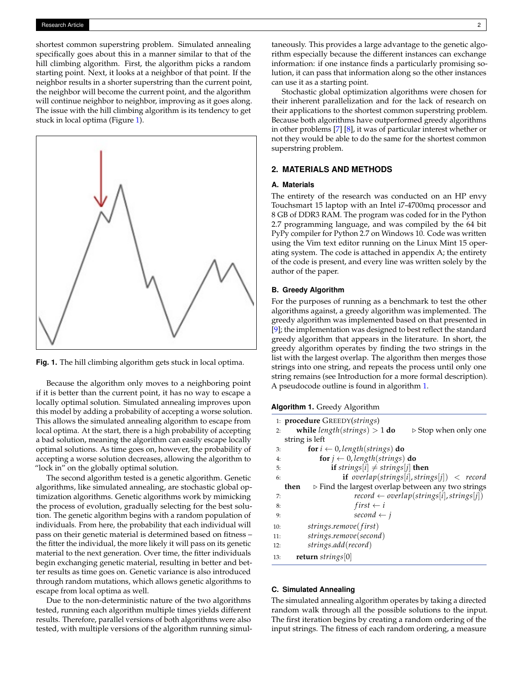shortest common superstring problem. Simulated annealing specifically goes about this in a manner similar to that of the hill climbing algorithm. First, the algorithm picks a random starting point. Next, it looks at a neighbor of that point. If the neighbor results in a shorter superstring than the current point, the neighbor will become the current point, and the algorithm will continue neighbor to neighbor, improving as it goes along. The issue with the hill climbing algorithm is its tendency to get stuck in local optima (Figure [1\)](#page-1-0).

<span id="page-1-0"></span>

**Fig. 1.** The hill climbing algorithm gets stuck in local optima.

Because the algorithm only moves to a neighboring point if it is better than the current point, it has no way to escape a locally optimal solution. Simulated annealing improves upon this model by adding a probability of accepting a worse solution. This allows the simulated annealing algorithm to escape from local optima. At the start, there is a high probability of accepting a bad solution, meaning the algorithm can easily escape locally optimal solutions. As time goes on, however, the probability of accepting a worse solution decreases, allowing the algorithm to "lock in" on the globally optimal solution.

The second algorithm tested is a genetic algorithm. Genetic algorithms, like simulated annealing, are stochastic global optimization algorithms. Genetic algorithms work by mimicking the process of evolution, gradually selecting for the best solution. The genetic algorithm begins with a random population of individuals. From here, the probability that each individual will pass on their genetic material is determined based on fitness – the fitter the individual, the more likely it will pass on its genetic material to the next generation. Over time, the fitter individuals begin exchanging genetic material, resulting in better and better results as time goes on. Genetic variance is also introduced through random mutations, which allows genetic algorithms to escape from local optima as well.

Due to the non-deterministic nature of the two algorithms tested, running each algorithm multiple times yields different results. Therefore, parallel versions of both algorithms were also tested, with multiple versions of the algorithm running simultaneously. This provides a large advantage to the genetic algorithm especially because the different instances can exchange information: if one instance finds a particularly promising solution, it can pass that information along so the other instances can use it as a starting point.

Stochastic global optimization algorithms were chosen for their inherent parallelization and for the lack of research on their applications to the shortest common superstring problem. Because both algorithms have outperformed greedy algorithms in other problems [\[7\]](#page-5-6) [\[8\]](#page-5-7), it was of particular interest whether or not they would be able to do the same for the shortest common superstring problem.

## **2. MATERIALS AND METHODS**

## **A. Materials**

The entirety of the research was conducted on an HP envy Touchsmart 15 laptop with an Intel i7-4700mq processor and 8 GB of DDR3 RAM. The program was coded for in the Python 2.7 programming language, and was compiled by the 64 bit PyPy compiler for Python 2.7 on Windows 10. Code was written using the Vim text editor running on the Linux Mint 15 operating system. The code is attached in appendix A; the entirety of the code is present, and every line was written solely by the author of the paper.

#### **B. Greedy Algorithm**

For the purposes of running as a benchmark to test the other algorithms against, a greedy algorithm was implemented. The greedy algorithm was implemented based on that presented in [\[9\]](#page-5-8); the implementation was designed to best reflect the standard greedy algorithm that appears in the literature. In short, the greedy algorithm operates by finding the two strings in the list with the largest overlap. The algorithm then merges those strings into one string, and repeats the process until only one string remains (see Introduction for a more formal description). A pseudocode outline is found in algorithm [1.](#page-1-1)

<span id="page-1-1"></span>

| <b>Algorithm 1.</b> Greedy Algorithm |  |  |  |  |  |
|--------------------------------------|--|--|--|--|--|
|--------------------------------------|--|--|--|--|--|

|     | 1: <b>procedure</b> GREEDY(strings)                                       |
|-----|---------------------------------------------------------------------------|
| 2:  | while $length(strings) > 1$ do<br>$\triangleright$ Stop when only one     |
|     | string is left                                                            |
| 3:  | <b>for</b> $i \leftarrow 0$ , length(strings) <b>do</b>                   |
| 4:  | for $j \leftarrow 0$ , length(strings) do                                 |
| 5:  | <b>if</b> strings[i] $\neq$ strings[j] <b>then</b>                        |
| 6:  | if overlap(strings[i], strings[j]) < record                               |
|     | $\triangleright$ Find the largest overlap between any two strings<br>then |
| 7:  | $record \leftarrow overlap(strings[i], strings[i])$                       |
| 8:  | $first \leftarrow i$                                                      |
| 9:  | second $\leftarrow i$                                                     |
| 10: | strings.remove(first)                                                     |
| 11: | strings.remove(second)                                                    |
| 12: | strings.add(record)                                                       |
| 13: | return strings $[0]$                                                      |
|     |                                                                           |

#### <span id="page-1-2"></span>**C. Simulated Annealing**

The simulated annealing algorithm operates by taking a directed random walk through all the possible solutions to the input. The first iteration begins by creating a random ordering of the input strings. The fitness of each random ordering, a measure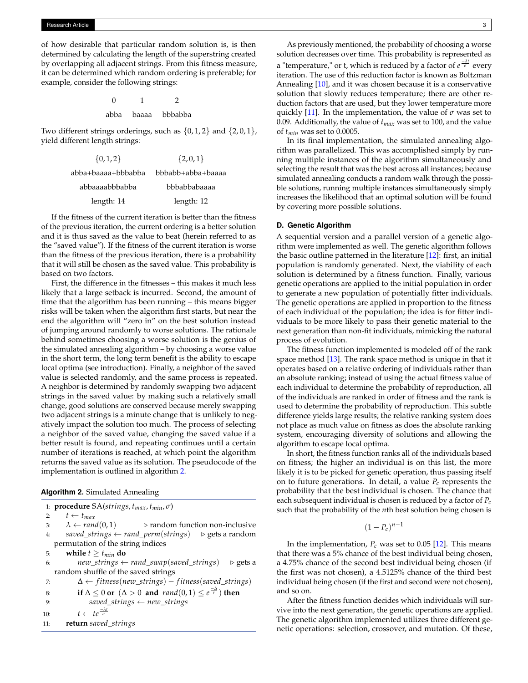of how desirable that particular random solution is, is then determined by calculating the length of the superstring created by overlapping all adjacent strings. From this fitness measure, it can be determined which random ordering is preferable; for example, consider the following strings:

> 0 1 2 abba baaaa bbbabba

Two different strings orderings, such as  $\{0, 1, 2\}$  and  $\{2, 0, 1\}$ , yield different length strings:

| $\{0,1,2\}$        | $\{2,0,1\}$       |
|--------------------|-------------------|
| abba+baaaa+bbbabba | bbbabb+abba+baaaa |
| abbaaaabbbabba     | bbbabbabaaaa      |
| length: 14         | length: 12        |

If the fitness of the current iteration is better than the fitness of the previous iteration, the current ordering is a better solution and it is thus saved as the value to beat (herein referred to as the "saved value"). If the fitness of the current iteration is worse than the fitness of the previous iteration, there is a probability that it will still be chosen as the saved value. This probability is based on two factors.

First, the difference in the fitnesses – this makes it much less likely that a large setback is incurred. Second, the amount of time that the algorithm has been running – this means bigger risks will be taken when the algorithm first starts, but near the end the algorithm will "zero in" on the best solution instead of jumping around randomly to worse solutions. The rationale behind sometimes choosing a worse solution is the genius of the simulated annealing algorithm – by choosing a worse value in the short term, the long term benefit is the ability to escape local optima (see introduction). Finally, a neighbor of the saved value is selected randomly, and the same process is repeated. A neighbor is determined by randomly swapping two adjacent strings in the saved value: by making such a relatively small change, good solutions are conserved because merely swapping two adjacent strings is a minute change that is unlikely to negatively impact the solution too much. The process of selecting a neighbor of the saved value, changing the saved value if a better result is found, and repeating continues until a certain number of iterations is reached, at which point the algorithm returns the saved value as its solution. The pseudocode of the implementation is outlined in algorithm [2.](#page-2-0)

<span id="page-2-0"></span>

|  |  | Algorithm 2. Simulated Annealing |  |  |
|--|--|----------------------------------|--|--|
|--|--|----------------------------------|--|--|

| 1: <b>procedure</b> $SA(strings, t_{max}, t_{min}, \sigma)$                           |
|---------------------------------------------------------------------------------------|
| $t \leftarrow t_{max}$                                                                |
| $\lambda \leftarrow \text{rand}(0,1)$ $\triangleright$ random function non-inclusive  |
| saved_strings $\leftarrow$ rand_perm(strings) $\triangleright$ gets a random          |
| permutation of the string indices                                                     |
| while $t \geq t_{min}$ do                                                             |
| $new\_strings \leftarrow rand\_swap(saved\_strings)$<br>$\triangleright$ gets a       |
| random shuffle of the saved strings                                                   |
| $\Delta \leftarrow \text{fitness(new\_strings)} - \text{fitness(saved\_strings)}$     |
| if $\Delta \leq 0$ or $(\Delta > 0$ and $rand(0, 1) \leq e^{\frac{-\Delta}{t}})$ then |
| saved_strings $\leftarrow$ new_strings                                                |
| $t \leftarrow te^{\frac{-\lambda t}{\sigma}}$                                         |
| return saved_strings                                                                  |
|                                                                                       |

As previously mentioned, the probability of choosing a worse solution decreases over time. This probability is represented as **a** "temperature," or t, which is reduced by a factor of  $e^{\frac{-\lambda t}{\sigma}}$  every iteration. The use of this reduction factor is known as Boltzman Annealing [\[10\]](#page-5-9), and it was chosen because it is a conservative solution that slowly reduces temperature; there are other reduction factors that are used, but they lower temperature more quickly [\[11\]](#page-5-10). In the implementation, the value of  $\sigma$  was set to 0.09. Additionally, the value of *tmax* was set to 100, and the value of *tmin* was set to 0.0005.

In its final implementation, the simulated annealing algorithm was parallelized. This was accomplished simply by running multiple instances of the algorithm simultaneously and selecting the result that was the best across all instances; because simulated annealing conducts a random walk through the possible solutions, running multiple instances simultaneously simply increases the likelihood that an optimal solution will be found by covering more possible solutions.

#### <span id="page-2-1"></span>**D. Genetic Algorithm**

A sequential version and a parallel version of a genetic algorithm were implemented as well. The genetic algorithm follows the basic outline patterned in the literature [\[12\]](#page-5-11): first, an initial population is randomly generated. Next, the viability of each solution is determined by a fitness function. Finally, various genetic operations are applied to the initial population in order to generate a new population of potentially fitter individuals. The genetic operations are applied in proportion to the fitness of each individual of the population; the idea is for fitter individuals to be more likely to pass their genetic material to the next generation than non-fit individuals, mimicking the natural process of evolution.

The fitness function implemented is modeled off of the rank space method [\[13\]](#page-5-12). The rank space method is unique in that it operates based on a relative ordering of individuals rather than an absolute ranking; instead of using the actual fitness value of each individual to determine the probability of reproduction, all of the individuals are ranked in order of fitness and the rank is used to determine the probability of reproduction. This subtle difference yields large results; the relative ranking system does not place as much value on fitness as does the absolute ranking system, encouraging diversity of solutions and allowing the algorithm to escape local optima.

In short, the fitness function ranks all of the individuals based on fitness; the higher an individual is on this list, the more likely it is to be picked for genetic operation, thus passing itself on to future generations. In detail, a value  $P_c$  represents the probability that the best individual is chosen. The chance that each subsequent individual is chosen is reduced by a factor of *Pc* such that the probability of the *n*th best solution being chosen is

$$
(1-P_c)^{n-1}
$$

In the implementation,  $P_c$  was set to 0.05 [\[12\]](#page-5-11). This means that there was a 5% chance of the best individual being chosen, a 4.75% chance of the second best individual being chosen (if the first was not chosen), a 4.5125% chance of the third best individual being chosen (if the first and second were not chosen), and so on.

After the fitness function decides which individuals will survive into the next generation, the genetic operations are applied. The genetic algorithm implemented utilizes three different genetic operations: selection, crossover, and mutation. Of these,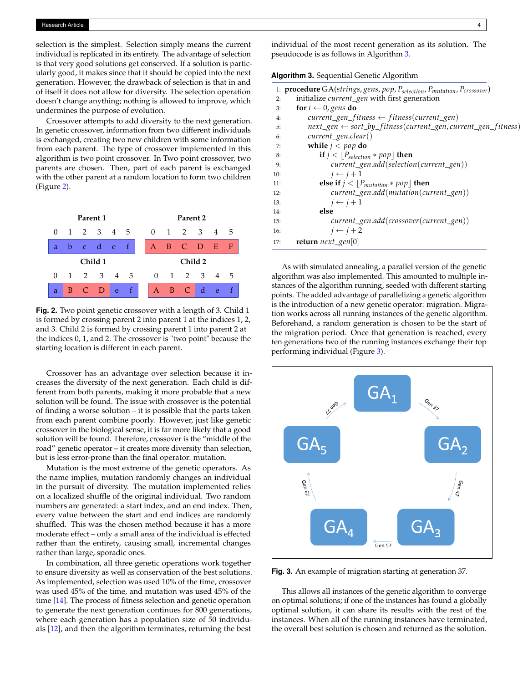selection is the simplest. Selection simply means the current individual is replicated in its entirety. The advantage of selection is that very good solutions get conserved. If a solution is particularly good, it makes since that it should be copied into the next generation. However, the drawback of selection is that in and of itself it does not allow for diversity. The selection operation doesn't change anything; nothing is allowed to improve, which undermines the purpose of evolution.

Crossover attempts to add diversity to the next generation. In genetic crossover, information from two different individuals is exchanged, creating two new children with some information from each parent. The type of crossover implemented in this algorithm is two point crossover. In Two point crossover, two parents are chosen. Then, part of each parent is exchanged with the other parent at a random location to form two children (Figure [2\)](#page-3-0).

<span id="page-3-0"></span>

**Fig. 2.** Two point genetic crossover with a length of 3. Child 1 is formed by crossing parent 2 into parent 1 at the indices 1, 2, and 3. Child 2 is formed by crossing parent 1 into parent 2 at the indices 0, 1, and 2. The crossover is "two point" because the starting location is different in each parent.

Crossover has an advantage over selection because it increases the diversity of the next generation. Each child is different from both parents, making it more probable that a new solution will be found. The issue with crossover is the potential of finding a worse solution – it is possible that the parts taken from each parent combine poorly. However, just like genetic crossover in the biological sense, it is far more likely that a good solution will be found. Therefore, crossover is the "middle of the road" genetic operator – it creates more diversity than selection, but is less error-prone than the final operator: mutation.

Mutation is the most extreme of the genetic operators. As the name implies, mutation randomly changes an individual in the pursuit of diversity. The mutation implemented relies on a localized shuffle of the original individual. Two random numbers are generated: a start index, and an end index. Then, every value between the start and end indices are randomly shuffled. This was the chosen method because it has a more moderate effect – only a small area of the individual is effected rather than the entirety, causing small, incremental changes rather than large, sporadic ones.

In combination, all three genetic operations work together to ensure diversity as well as conservation of the best solutions. As implemented, selection was used 10% of the time, crossover was used 45% of the time, and mutation was used 45% of the time [\[14\]](#page-5-13). The process of fitness selection and genetic operation to generate the next generation continues for 800 generations, where each generation has a population size of 50 individuals [\[12\]](#page-5-11), and then the algorithm terminates, returning the best

individual of the most recent generation as its solution. The pseudocode is as follows in Algorithm [3.](#page-3-1)

# <span id="page-3-1"></span>**Algorithm 3.** Sequential Genetic Algorithm

|     | 1: <b>procedure</b> $GA(strings,gens, pop, Pselection, Pmutation, Pcrossover)$              |
|-----|---------------------------------------------------------------------------------------------|
| 2:  | initialize current_gen with first generation                                                |
| 3:  | for $i \leftarrow 0$ , gens do                                                              |
| 4:  | $current\_gen\_fitness \leftarrow fitness(current\_gen)$                                    |
| 5:  | $next\_gen \leftarrow sort_by_{fitness}(\text{current\_gen}, \text{current\_gen\_fitness})$ |
| 6:  | $current\_gen.close$ ()                                                                     |
| 7:  | while $j < pop$ do                                                                          |
| 8:  | if $j <  P_{selection} * pop $ then                                                         |
| 9:  | $current\_gen.add(selfon(current\_gen))$                                                    |
| 10: | $j \leftarrow j+1$                                                                          |
| 11: | else if $j <  P_{mutation} * pop $ then                                                     |
| 12: | $current\_gen.add(mutation(current\_gen))$                                                  |
| 13: | $i \leftarrow i+1$                                                                          |
| 14: | else                                                                                        |
| 15: | current_gen.add(crossover(current_gen))                                                     |
| 16: | $i \leftarrow i + 2$                                                                        |
| 17: | return $next\_gen[0]$                                                                       |

As with simulated annealing, a parallel version of the genetic algorithm was also implemented. This amounted to multiple instances of the algorithm running, seeded with different starting points. The added advantage of parallelizing a genetic algorithm is the introduction of a new genetic operator: migration. Migration works across all running instances of the genetic algorithm. Beforehand, a random generation is chosen to be the start of the migration period. Once that generation is reached, every ten generations two of the running instances exchange their top performing individual (Figure [3\)](#page-3-2).

<span id="page-3-2"></span>

**Fig. 3.** An example of migration starting at generation 37.

This allows all instances of the genetic algorithm to converge on optimal solutions; if one of the instances has found a globally optimal solution, it can share its results with the rest of the instances. When all of the running instances have terminated, the overall best solution is chosen and returned as the solution.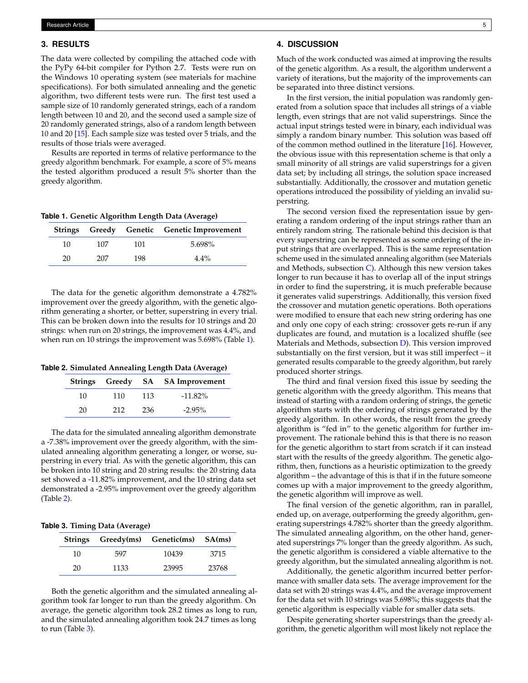## **3. RESULTS**

The data were collected by compiling the attached code with the PyPy 64-bit compiler for Python 2.7. Tests were run on the Windows 10 operating system (see materials for machine specifications). For both simulated annealing and the genetic algorithm, two different tests were run. The first test used a sample size of 10 randomly generated strings, each of a random length between 10 and 20, and the second used a sample size of 20 randomly generated strings, also of a random length between 10 and 20 [\[15\]](#page-5-14). Each sample size was tested over 5 trials, and the results of those trials were averaged.

Results are reported in terms of relative performance to the greedy algorithm benchmark. For example, a score of 5% means the tested algorithm produced a result 5% shorter than the greedy algorithm.

<span id="page-4-0"></span>**Table 1. Genetic Algorithm Length Data (Average)**

|    |     |     | Strings Greedy Genetic Genetic Improvement |
|----|-----|-----|--------------------------------------------|
| 10 | 107 | 101 | 5.698%                                     |
| 20 | 207 | 198 | $4.4\%$                                    |

The data for the genetic algorithm demonstrate a 4.782% improvement over the greedy algorithm, with the genetic algorithm generating a shorter, or better, superstring in every trial. This can be broken down into the results for 10 strings and 20 strings: when run on 20 strings, the improvement was 4.4%, and when run on 10 strings the improvement was 5.698% (Table [1\)](#page-4-0).

<span id="page-4-1"></span>**Table 2. Simulated Annealing Length Data (Average)**

|    |     |     | Strings Greedy SA SA Improvement |
|----|-----|-----|----------------------------------|
| 10 | 110 | 113 | $-11.82\%$                       |
| 20 | 212 | 236 | $-2.95\%$                        |

The data for the simulated annealing algorithm demonstrate a -7.38% improvement over the greedy algorithm, with the simulated annealing algorithm generating a longer, or worse, superstring in every trial. As with the genetic algorithm, this can be broken into 10 string and 20 string results: the 20 string data set showed a -11.82% improvement, and the 10 string data set demonstrated a -2.95% improvement over the greedy algorithm (Table [2\)](#page-4-1).

<span id="page-4-2"></span>

|  |  |  | Table 3. Timing Data (Average) |  |
|--|--|--|--------------------------------|--|
|--|--|--|--------------------------------|--|

|    |      | Strings Greedy(ms) Genetic(ms) SA(ms) |       |
|----|------|---------------------------------------|-------|
| 10 | 597  | 10439                                 | 3715  |
| 20 | 1133 | 23995                                 | 23768 |

Both the genetic algorithm and the simulated annealing algorithm took far longer to run than the greedy algorithm. On average, the genetic algorithm took 28.2 times as long to run, and the simulated annealing algorithm took 24.7 times as long to run (Table [3\)](#page-4-2).

# **4. DISCUSSION**

Much of the work conducted was aimed at improving the results of the genetic algorithm. As a result, the algorithm underwent a variety of iterations, but the majority of the improvements can be separated into three distinct versions.

In the first version, the initial population was randomly generated from a solution space that includes all strings of a viable length, even strings that are not valid superstrings. Since the actual input strings tested were in binary, each individual was simply a random binary number. This solution was based off of the common method outlined in the literature [\[16\]](#page-5-15). However, the obvious issue with this representation scheme is that only a small minority of all strings are valid superstrings for a given data set; by including all strings, the solution space increased substantially. Additionally, the crossover and mutation genetic operations introduced the possibility of yielding an invalid superstring.

The second version fixed the representation issue by generating a random ordering of the input strings rather than an entirely random string. The rationale behind this decision is that every superstring can be represented as some ordering of the input strings that are overlapped. This is the same representation scheme used in the simulated annealing algorithm (see Materials and Methods, subsection  $C$ ). Although this new version takes longer to run because it has to overlap all of the input strings in order to find the superstring, it is much preferable because it generates valid superstrings. Additionally, this version fixed the crossover and mutation genetic operations. Both operations were modified to ensure that each new string ordering has one and only one copy of each string: crossover gets re-run if any duplicates are found, and mutation is a localized shuffle (see Materials and Methods, subsection [D\)](#page-2-1). This version improved substantially on the first version, but it was still imperfect – it generated results comparable to the greedy algorithm, but rarely produced shorter strings.

The third and final version fixed this issue by seeding the genetic algorithm with the greedy algorithm. This means that instead of starting with a random ordering of strings, the genetic algorithm starts with the ordering of strings generated by the greedy algorithm. In other words, the result from the greedy algorithm is "fed in" to the genetic algorithm for further improvement. The rationale behind this is that there is no reason for the genetic algorithm to start from scratch if it can instead start with the results of the greedy algorithm. The genetic algorithm, then, functions as a heuristic optimization to the greedy algorithm – the advantage of this is that if in the future someone comes up with a major improvement to the greedy algorithm, the genetic algorithm will improve as well.

The final version of the genetic algorithm, ran in parallel, ended up, on average, outperforming the greedy algorithm, generating superstrings 4.782% shorter than the greedy algorithm. The simulated annealing algorithm, on the other hand, generated superstrings 7% longer than the greedy algorithm. As such, the genetic algorithm is considered a viable alternative to the greedy algorithm, but the simulated annealing algorithm is not.

Additionally, the genetic algorithm incurred better performance with smaller data sets. The average improvement for the data set with 20 strings was 4.4%, and the average improvement for the data set with 10 strings was 5.698%; this suggests that the genetic algorithm is especially viable for smaller data sets.

Despite generating shorter superstrings than the greedy algorithm, the genetic algorithm will most likely not replace the